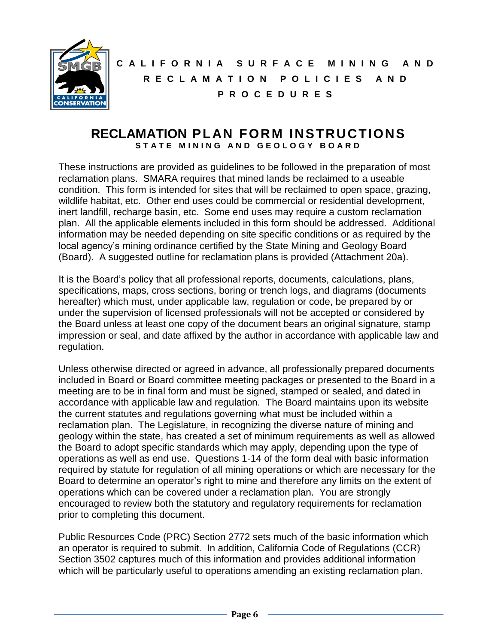

# **C A L I F O R N I A S U R F A C E M I N I N G A N D R E C L A M A T I O N P O L I C I E S A N D P R O C E D U R E S**

# **RECLAMATION PLAN FORM INSTRUCTIONS** STATE MINING AND GEOLOGY BOARD

These instructions are provided as guidelines to be followed in the preparation of most reclamation plans. SMARA requires that mined lands be reclaimed to a useable condition. This form is intended for sites that will be reclaimed to open space, grazing, wildlife habitat, etc. Other end uses could be commercial or residential development, inert landfill, recharge basin, etc. Some end uses may require a custom reclamation plan. All the applicable elements included in this form should be addressed. Additional information may be needed depending on site specific conditions or as required by the local agency's mining ordinance certified by the State Mining and Geology Board (Board). A suggested outline for reclamation plans is provided (Attachment 20a).

It is the Board's policy that all professional reports, documents, calculations, plans, specifications, maps, cross sections, boring or trench logs, and diagrams (documents hereafter) which must, under applicable law, regulation or code, be prepared by or under the supervision of licensed professionals will not be accepted or considered by the Board unless at least one copy of the document bears an original signature, stamp impression or seal, and date affixed by the author in accordance with applicable law and regulation.

Unless otherwise directed or agreed in advance, all professionally prepared documents included in Board or Board committee meeting packages or presented to the Board in a meeting are to be in final form and must be signed, stamped or sealed, and dated in accordance with applicable law and regulation. The Board maintains upon its website the current statutes and regulations governing what must be included within a reclamation plan. The Legislature, in recognizing the diverse nature of mining and geology within the state, has created a set of minimum requirements as well as allowed the Board to adopt specific standards which may apply, depending upon the type of operations as well as end use. Questions 1-14 of the form deal with basic information required by statute for regulation of all mining operations or which are necessary for the Board to determine an operator's right to mine and therefore any limits on the extent of operations which can be covered under a reclamation plan. You are strongly encouraged to review both the statutory and regulatory requirements for reclamation prior to completing this document.

Public Resources Code (PRC) Section 2772 sets much of the basic information which an operator is required to submit. In addition, California Code of Regulations (CCR) Section 3502 captures much of this information and provides additional information which will be particularly useful to operations amending an existing reclamation plan.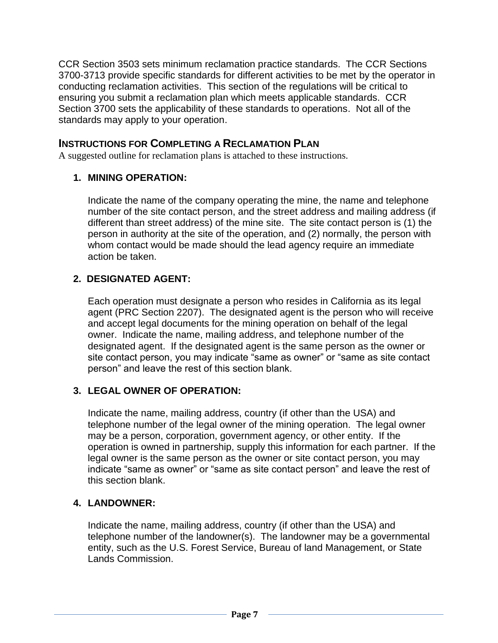CCR Section 3503 sets minimum reclamation practice standards. The CCR Sections 3700-3713 provide specific standards for different activities to be met by the operator in conducting reclamation activities. This section of the regulations will be critical to ensuring you submit a reclamation plan which meets applicable standards. CCR Section 3700 sets the applicability of these standards to operations. Not all of the standards may apply to your operation.

# **INSTRUCTIONS FOR COMPLETING A RECLAMATION PLAN**

A suggested outline for reclamation plans is attached to these instructions.

### **1. MINING OPERATION:**

Indicate the name of the company operating the mine, the name and telephone number of the site contact person, and the street address and mailing address (if different than street address) of the mine site. The site contact person is (1) the person in authority at the site of the operation, and (2) normally, the person with whom contact would be made should the lead agency require an immediate action be taken.

# **2. DESIGNATED AGENT:**

Each operation must designate a person who resides in California as its legal agent (PRC Section 2207). The designated agent is the person who will receive and accept legal documents for the mining operation on behalf of the legal owner. Indicate the name, mailing address, and telephone number of the designated agent. If the designated agent is the same person as the owner or site contact person, you may indicate "same as owner" or "same as site contact person" and leave the rest of this section blank.

# **3. LEGAL OWNER OF OPERATION:**

Indicate the name, mailing address, country (if other than the USA) and telephone number of the legal owner of the mining operation. The legal owner may be a person, corporation, government agency, or other entity. If the operation is owned in partnership, supply this information for each partner. If the legal owner is the same person as the owner or site contact person, you may indicate "same as owner" or "same as site contact person" and leave the rest of this section blank.

# **4. LANDOWNER:**

Indicate the name, mailing address, country (if other than the USA) and telephone number of the landowner(s). The landowner may be a governmental entity, such as the U.S. Forest Service, Bureau of land Management, or State Lands Commission.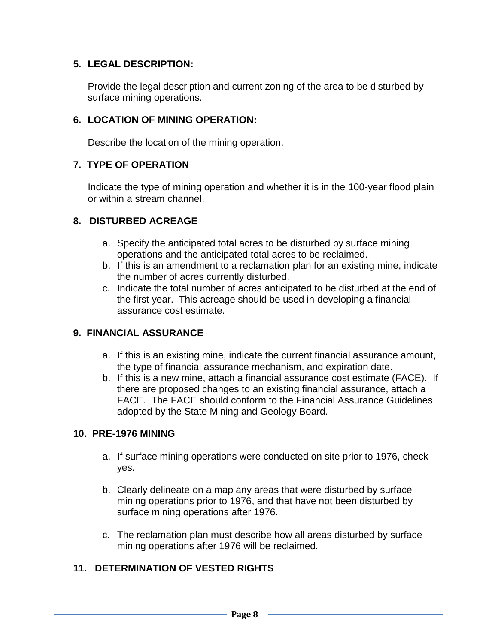### **5. LEGAL DESCRIPTION:**

Provide the legal description and current zoning of the area to be disturbed by surface mining operations.

### **6. LOCATION OF MINING OPERATION:**

Describe the location of the mining operation.

### **7. TYPE OF OPERATION**

Indicate the type of mining operation and whether it is in the 100-year flood plain or within a stream channel.

### **8. DISTURBED ACREAGE**

- a. Specify the anticipated total acres to be disturbed by surface mining operations and the anticipated total acres to be reclaimed.
- b. If this is an amendment to a reclamation plan for an existing mine, indicate the number of acres currently disturbed.
- c. Indicate the total number of acres anticipated to be disturbed at the end of the first year. This acreage should be used in developing a financial assurance cost estimate.

# **9. FINANCIAL ASSURANCE**

- a. If this is an existing mine, indicate the current financial assurance amount, the type of financial assurance mechanism, and expiration date.
- b. If this is a new mine, attach a financial assurance cost estimate (FACE). If there are proposed changes to an existing financial assurance, attach a FACE. The FACE should conform to the Financial Assurance Guidelines adopted by the State Mining and Geology Board.

### **10. PRE-1976 MINING**

- a. If surface mining operations were conducted on site prior to 1976, check yes.
- b. Clearly delineate on a map any areas that were disturbed by surface mining operations prior to 1976, and that have not been disturbed by surface mining operations after 1976.
- c. The reclamation plan must describe how all areas disturbed by surface mining operations after 1976 will be reclaimed.

# **11. DETERMINATION OF VESTED RIGHTS**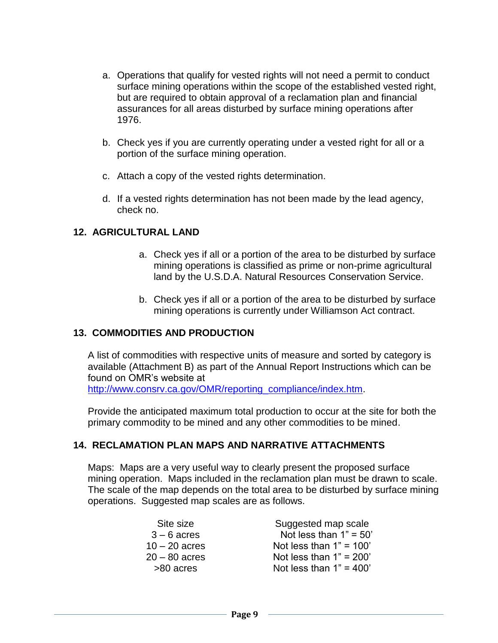- a. Operations that qualify for vested rights will not need a permit to conduct surface mining operations within the scope of the established vested right, but are required to obtain approval of a reclamation plan and financial assurances for all areas disturbed by surface mining operations after 1976.
- b. Check yes if you are currently operating under a vested right for all or a portion of the surface mining operation.
- c. Attach a copy of the vested rights determination.
- d. If a vested rights determination has not been made by the lead agency, check no.

#### **12. AGRICULTURAL LAND**

- a. Check yes if all or a portion of the area to be disturbed by surface mining operations is classified as prime or non-prime agricultural land by the U.S.D.A. Natural Resources Conservation Service.
- b. Check yes if all or a portion of the area to be disturbed by surface mining operations is currently under Williamson Act contract.

#### **13. COMMODITIES AND PRODUCTION**

A list of commodities with respective units of measure and sorted by category is available (Attachment B) as part of the Annual Report Instructions which can be found on OMR's website at [http://www.consrv.ca.gov/OMR/reporting\\_compliance/index.htm.](http://www.consrv.ca.gov/OMR/reporting_compliance/index.htm)

Provide the anticipated maximum total production to occur at the site for both the primary commodity to be mined and any other commodities to be mined.

#### **14. RECLAMATION PLAN MAPS AND NARRATIVE ATTACHMENTS**

Maps: Maps are a very useful way to clearly present the proposed surface mining operation. Maps included in the reclamation plan must be drawn to scale. The scale of the map depends on the total area to be disturbed by surface mining operations. Suggested map scales are as follows.

| Site size       | Suggested map scale       |
|-----------------|---------------------------|
| $3 - 6$ acres   | Not less than $1" = 50'$  |
| $10 - 20$ acres | Not less than $1" = 100'$ |
| 20 – 80 acres   | Not less than $1" = 200'$ |
| >80 acres       | Not less than $1" = 400'$ |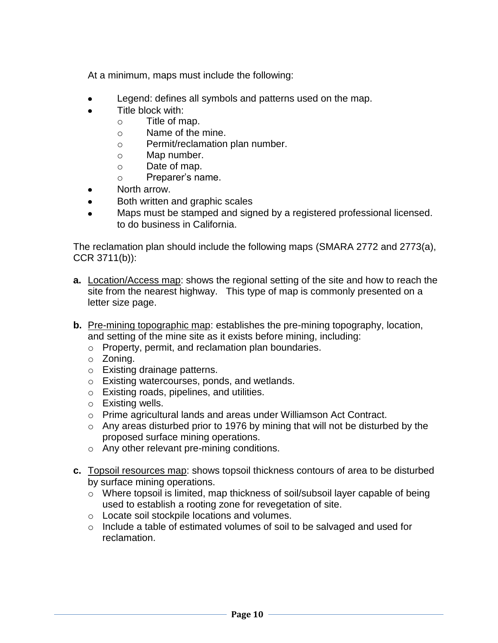At a minimum, maps must include the following:

- Legend: defines all symbols and patterns used on the map.  $\bullet$
- Title block with:
	- o Title of map.
	- o Name of the mine.
	- o Permit/reclamation plan number.
	- o Map number.
	- o Date of map.
	- o Preparer's name.
- North arrow.  $\bullet$
- $\bullet$ Both written and graphic scales
- Maps must be stamped and signed by a registered professional licensed.  $\bullet$ to do business in California.

The reclamation plan should include the following maps (SMARA 2772 and 2773(a), CCR 3711(b)):

- **a.** Location/Access map: shows the regional setting of the site and how to reach the site from the nearest highway. This type of map is commonly presented on a letter size page.
- **b.** Pre-mining topographic map: establishes the pre-mining topography, location, and setting of the mine site as it exists before mining, including:
	- o Property, permit, and reclamation plan boundaries.
	- o Zoning.
	- o Existing drainage patterns.
	- o Existing watercourses, ponds, and wetlands.
	- o Existing roads, pipelines, and utilities.
	- o Existing wells.
	- o Prime agricultural lands and areas under Williamson Act Contract.
	- $\circ$  Any areas disturbed prior to 1976 by mining that will not be disturbed by the proposed surface mining operations.
	- o Any other relevant pre-mining conditions.
- **c.** Topsoil resources map: shows topsoil thickness contours of area to be disturbed by surface mining operations.
	- o Where topsoil is limited, map thickness of soil/subsoil layer capable of being used to establish a rooting zone for revegetation of site.
	- o Locate soil stockpile locations and volumes.
	- o Include a table of estimated volumes of soil to be salvaged and used for reclamation.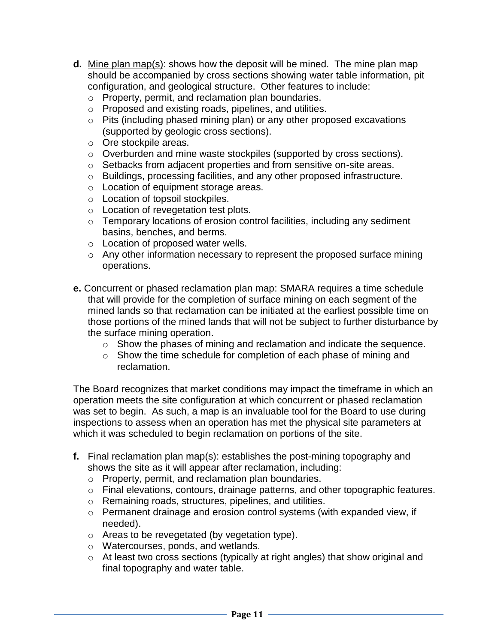- **d.** Mine plan map(s): shows how the deposit will be mined. The mine plan map should be accompanied by cross sections showing water table information, pit configuration, and geological structure. Other features to include:
	- o Property, permit, and reclamation plan boundaries.
	- o Proposed and existing roads, pipelines, and utilities.
	- o Pits (including phased mining plan) or any other proposed excavations (supported by geologic cross sections).
	- o Ore stockpile areas.
	- o Overburden and mine waste stockpiles (supported by cross sections).
	- o Setbacks from adjacent properties and from sensitive on-site areas.
	- o Buildings, processing facilities, and any other proposed infrastructure.
	- o Location of equipment storage areas.
	- o Location of topsoil stockpiles.
	- o Location of revegetation test plots.
	- o Temporary locations of erosion control facilities, including any sediment basins, benches, and berms.
	- o Location of proposed water wells.
	- o Any other information necessary to represent the proposed surface mining operations.
- **e.** Concurrent or phased reclamation plan map: SMARA requires a time schedule that will provide for the completion of surface mining on each segment of the mined lands so that reclamation can be initiated at the earliest possible time on those portions of the mined lands that will not be subject to further disturbance by the surface mining operation.
	- o Show the phases of mining and reclamation and indicate the sequence.
	- o Show the time schedule for completion of each phase of mining and reclamation.

The Board recognizes that market conditions may impact the timeframe in which an operation meets the site configuration at which concurrent or phased reclamation was set to begin. As such, a map is an invaluable tool for the Board to use during inspections to assess when an operation has met the physical site parameters at which it was scheduled to begin reclamation on portions of the site.

- **f.** Final reclamation plan map(s): establishes the post-mining topography and shows the site as it will appear after reclamation, including:
	- o Property, permit, and reclamation plan boundaries.
	- o Final elevations, contours, drainage patterns, and other topographic features.
	- o Remaining roads, structures, pipelines, and utilities.
	- o Permanent drainage and erosion control systems (with expanded view, if needed).
	- o Areas to be revegetated (by vegetation type).
	- o Watercourses, ponds, and wetlands.
	- o At least two cross sections (typically at right angles) that show original and final topography and water table.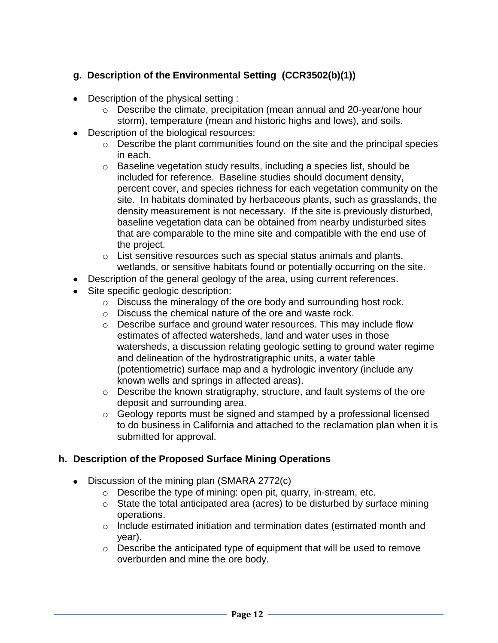# **g. Description of the Environmental Setting (CCR3502(b)(1))**

- Description of the physical setting :
	- o Describe the climate, precipitation (mean annual and 20-year/one hour storm), temperature (mean and historic highs and lows), and soils.
- Description of the biological resources:
	- o Describe the plant communities found on the site and the principal species in each.
	- o Baseline vegetation study results, including a species list, should be included for reference. Baseline studies should document density, percent cover, and species richness for each vegetation community on the site. In habitats dominated by herbaceous plants, such as grasslands, the density measurement is not necessary. If the site is previously disturbed, baseline vegetation data can be obtained from nearby undisturbed sites that are comparable to the mine site and compatible with the end use of the project.
	- o List sensitive resources such as special status animals and plants, wetlands, or sensitive habitats found or potentially occurring on the site.
- Description of the general geology of the area, using current references.
- Site specific geologic description:
	- o Discuss the mineralogy of the ore body and surrounding host rock.
	- o Discuss the chemical nature of the ore and waste rock.
	- o Describe surface and ground water resources. This may include flow estimates of affected watersheds, land and water uses in those watersheds, a discussion relating geologic setting to ground water regime and delineation of the hydrostratigraphic units, a water table (potentiometric) surface map and a hydrologic inventory (include any known wells and springs in affected areas).
	- o Describe the known stratigraphy, structure, and fault systems of the ore deposit and surrounding area.
	- o Geology reports must be signed and stamped by a professional licensed to do business in California and attached to the reclamation plan when it is submitted for approval.

### **h. Description of the Proposed Surface Mining Operations**

- Discussion of the mining plan (SMARA 2772(c)
	- o Describe the type of mining: open pit, quarry, in-stream, etc.
	- $\circ$  State the total anticipated area (acres) to be disturbed by surface mining operations.
	- o Include estimated initiation and termination dates (estimated month and year).
	- $\circ$  Describe the anticipated type of equipment that will be used to remove overburden and mine the ore body.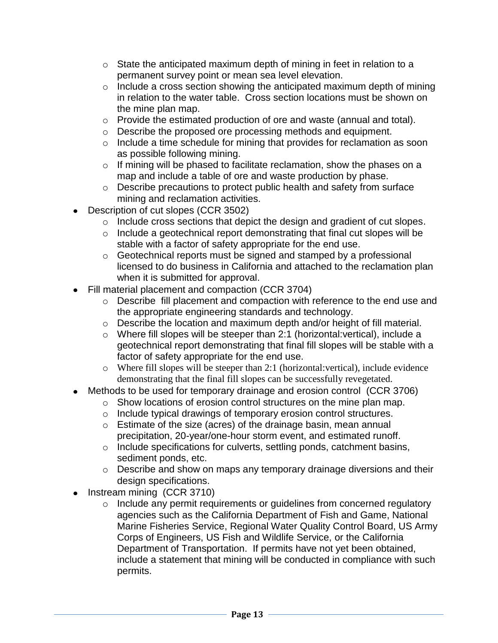- $\circ$  State the anticipated maximum depth of mining in feet in relation to a permanent survey point or mean sea level elevation.
- $\circ$  Include a cross section showing the anticipated maximum depth of mining in relation to the water table. Cross section locations must be shown on the mine plan map.
- o Provide the estimated production of ore and waste (annual and total).
- o Describe the proposed ore processing methods and equipment.
- o Include a time schedule for mining that provides for reclamation as soon as possible following mining.
- o If mining will be phased to facilitate reclamation, show the phases on a map and include a table of ore and waste production by phase.
- o Describe precautions to protect public health and safety from surface mining and reclamation activities.
- Description of cut slopes (CCR 3502)
	- o Include cross sections that depict the design and gradient of cut slopes.
	- o Include a geotechnical report demonstrating that final cut slopes will be stable with a factor of safety appropriate for the end use.
	- o Geotechnical reports must be signed and stamped by a professional licensed to do business in California and attached to the reclamation plan when it is submitted for approval.
- Fill material placement and compaction (CCR 3704)
	- o Describe fill placement and compaction with reference to the end use and the appropriate engineering standards and technology.
	- o Describe the location and maximum depth and/or height of fill material.
	- o Where fill slopes will be steeper than 2:1 (horizontal:vertical), include a geotechnical report demonstrating that final fill slopes will be stable with a factor of safety appropriate for the end use.
	- o Where fill slopes will be steeper than 2:1 (horizontal:vertical), include evidence demonstrating that the final fill slopes can be successfully revegetated.
- Methods to be used for temporary drainage and erosion control (CCR 3706)
	- o Show locations of erosion control structures on the mine plan map.
	- o Include typical drawings of temporary erosion control structures.
	- o Estimate of the size (acres) of the drainage basin, mean annual precipitation, 20-year/one-hour storm event, and estimated runoff.
	- o Include specifications for culverts, settling ponds, catchment basins, sediment ponds, etc.
	- o Describe and show on maps any temporary drainage diversions and their design specifications.
- Instream mining (CCR 3710)
	- o Include any permit requirements or guidelines from concerned regulatory agencies such as the California Department of Fish and Game, National Marine Fisheries Service, Regional Water Quality Control Board, US Army Corps of Engineers, US Fish and Wildlife Service, or the California Department of Transportation. If permits have not yet been obtained, include a statement that mining will be conducted in compliance with such permits.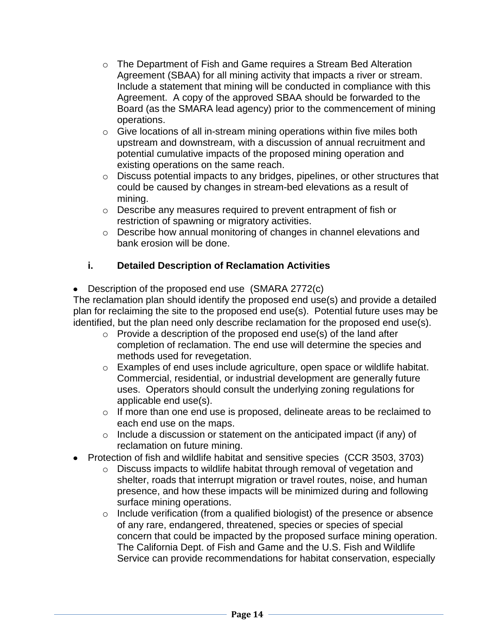- $\circ$  The Department of Fish and Game requires a Stream Bed Alteration Agreement (SBAA) for all mining activity that impacts a river or stream. Include a statement that mining will be conducted in compliance with this Agreement. A copy of the approved SBAA should be forwarded to the Board (as the SMARA lead agency) prior to the commencement of mining operations.
- $\circ$  Give locations of all in-stream mining operations within five miles both upstream and downstream, with a discussion of annual recruitment and potential cumulative impacts of the proposed mining operation and existing operations on the same reach.
- o Discuss potential impacts to any bridges, pipelines, or other structures that could be caused by changes in stream-bed elevations as a result of mining.
- o Describe any measures required to prevent entrapment of fish or restriction of spawning or migratory activities.
- o Describe how annual monitoring of changes in channel elevations and bank erosion will be done.

# **i. Detailed Description of Reclamation Activities**

Description of the proposed end use (SMARA 2772(c)

The reclamation plan should identify the proposed end use(s) and provide a detailed plan for reclaiming the site to the proposed end use(s). Potential future uses may be identified, but the plan need only describe reclamation for the proposed end use(s).

- $\circ$  Provide a description of the proposed end use(s) of the land after completion of reclamation. The end use will determine the species and methods used for revegetation.
- o Examples of end uses include agriculture, open space or wildlife habitat. Commercial, residential, or industrial development are generally future uses. Operators should consult the underlying zoning regulations for applicable end use(s).
- o If more than one end use is proposed, delineate areas to be reclaimed to each end use on the maps.
- o Include a discussion or statement on the anticipated impact (if any) of reclamation on future mining.
- Protection of fish and wildlife habitat and sensitive species (CCR 3503, 3703)
	- o Discuss impacts to wildlife habitat through removal of vegetation and shelter, roads that interrupt migration or travel routes, noise, and human presence, and how these impacts will be minimized during and following surface mining operations.
	- o Include verification (from a qualified biologist) of the presence or absence of any rare, endangered, threatened, species or species of special concern that could be impacted by the proposed surface mining operation. The California Dept. of Fish and Game and the U.S. Fish and Wildlife Service can provide recommendations for habitat conservation, especially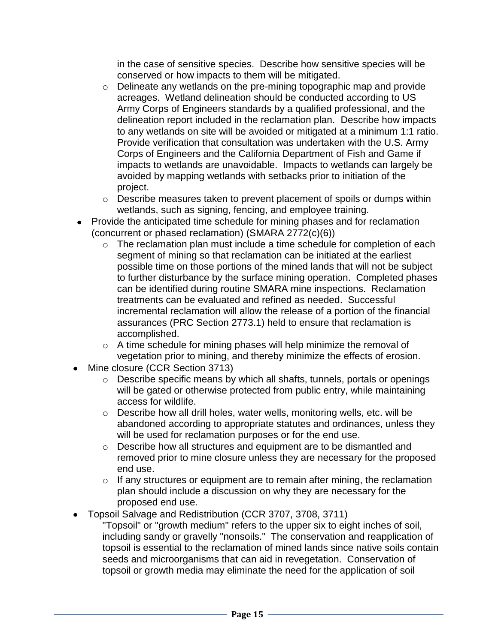in the case of sensitive species. Describe how sensitive species will be conserved or how impacts to them will be mitigated.

- o Delineate any wetlands on the pre-mining topographic map and provide acreages. Wetland delineation should be conducted according to US Army Corps of Engineers standards by a qualified professional, and the delineation report included in the reclamation plan. Describe how impacts to any wetlands on site will be avoided or mitigated at a minimum 1:1 ratio. Provide verification that consultation was undertaken with the U.S. Army Corps of Engineers and the California Department of Fish and Game if impacts to wetlands are unavoidable. Impacts to wetlands can largely be avoided by mapping wetlands with setbacks prior to initiation of the project.
- o Describe measures taken to prevent placement of spoils or dumps within wetlands, such as signing, fencing, and employee training.
- Provide the anticipated time schedule for mining phases and for reclamation (concurrent or phased reclamation) (SMARA 2772(c)(6))
	- o The reclamation plan must include a time schedule for completion of each segment of mining so that reclamation can be initiated at the earliest possible time on those portions of the mined lands that will not be subject to further disturbance by the surface mining operation. Completed phases can be identified during routine SMARA mine inspections. Reclamation treatments can be evaluated and refined as needed. Successful incremental reclamation will allow the release of a portion of the financial assurances (PRC Section 2773.1) held to ensure that reclamation is accomplished.
	- o A time schedule for mining phases will help minimize the removal of vegetation prior to mining, and thereby minimize the effects of erosion.
- Mine closure (CCR Section 3713)
	- o Describe specific means by which all shafts, tunnels, portals or openings will be gated or otherwise protected from public entry, while maintaining access for wildlife.
	- o Describe how all drill holes, water wells, monitoring wells, etc. will be abandoned according to appropriate statutes and ordinances, unless they will be used for reclamation purposes or for the end use.
	- o Describe how all structures and equipment are to be dismantled and removed prior to mine closure unless they are necessary for the proposed end use.
	- $\circ$  If any structures or equipment are to remain after mining, the reclamation plan should include a discussion on why they are necessary for the proposed end use.
- Topsoil Salvage and Redistribution (CCR 3707, 3708, 3711)
	- "Topsoil" or "growth medium" refers to the upper six to eight inches of soil, including sandy or gravelly "nonsoils." The conservation and reapplication of topsoil is essential to the reclamation of mined lands since native soils contain seeds and microorganisms that can aid in revegetation. Conservation of topsoil or growth media may eliminate the need for the application of soil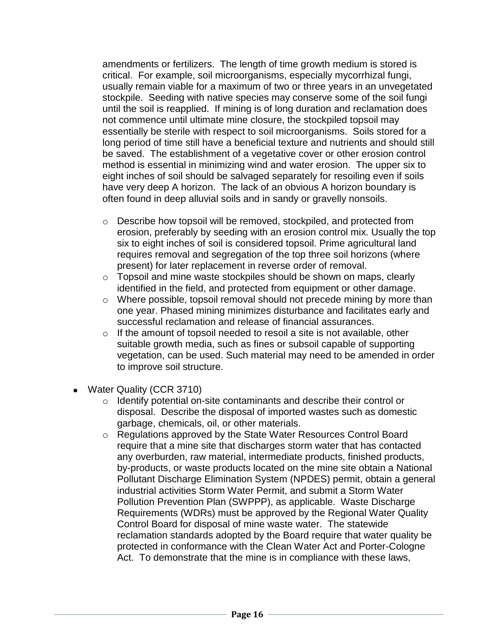amendments or fertilizers. The length of time growth medium is stored is critical. For example, soil microorganisms, especially mycorrhizal fungi, usually remain viable for a maximum of two or three years in an unvegetated stockpile. Seeding with native species may conserve some of the soil fungi until the soil is reapplied. If mining is of long duration and reclamation does not commence until ultimate mine closure, the stockpiled topsoil may essentially be sterile with respect to soil microorganisms. Soils stored for a long period of time still have a beneficial texture and nutrients and should still be saved. The establishment of a vegetative cover or other erosion control method is essential in minimizing wind and water erosion. The upper six to eight inches of soil should be salvaged separately for resoiling even if soils have very deep A horizon. The lack of an obvious A horizon boundary is often found in deep alluvial soils and in sandy or gravelly nonsoils.

- $\circ$  Describe how topsoil will be removed, stockpiled, and protected from erosion, preferably by seeding with an erosion control mix. Usually the top six to eight inches of soil is considered topsoil. Prime agricultural land requires removal and segregation of the top three soil horizons (where present) for later replacement in reverse order of removal.
- o Topsoil and mine waste stockpiles should be shown on maps, clearly identified in the field, and protected from equipment or other damage.
- o Where possible, topsoil removal should not precede mining by more than one year. Phased mining minimizes disturbance and facilitates early and successful reclamation and release of financial assurances.
- $\circ$  If the amount of topsoil needed to resoil a site is not available, other suitable growth media, such as fines or subsoil capable of supporting vegetation, can be used. Such material may need to be amended in order to improve soil structure.
- Water Quality (CCR 3710)
	- o Identify potential on-site contaminants and describe their control or disposal. Describe the disposal of imported wastes such as domestic garbage, chemicals, oil, or other materials.
	- o Regulations approved by the State Water Resources Control Board require that a mine site that discharges storm water that has contacted any overburden, raw material, intermediate products, finished products, by-products, or waste products located on the mine site obtain a National Pollutant Discharge Elimination System (NPDES) permit, obtain a general industrial activities Storm Water Permit, and submit a Storm Water Pollution Prevention Plan (SWPPP), as applicable. Waste Discharge Requirements (WDRs) must be approved by the Regional Water Quality Control Board for disposal of mine waste water. The statewide reclamation standards adopted by the Board require that water quality be protected in conformance with the Clean Water Act and Porter-Cologne Act. To demonstrate that the mine is in compliance with these laws,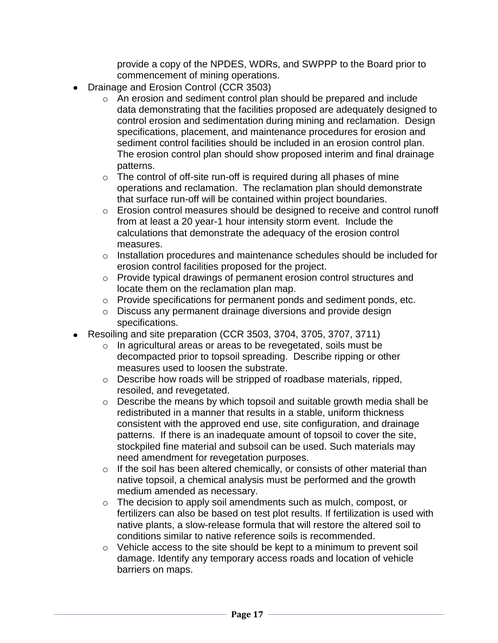provide a copy of the NPDES, WDRs, and SWPPP to the Board prior to commencement of mining operations.

- Drainage and Erosion Control (CCR 3503)
	- o An erosion and sediment control plan should be prepared and include data demonstrating that the facilities proposed are adequately designed to control erosion and sedimentation during mining and reclamation. Design specifications, placement, and maintenance procedures for erosion and sediment control facilities should be included in an erosion control plan. The erosion control plan should show proposed interim and final drainage patterns.
	- $\circ$  The control of off-site run-off is required during all phases of mine operations and reclamation. The reclamation plan should demonstrate that surface run-off will be contained within project boundaries.
	- o Erosion control measures should be designed to receive and control runoff from at least a 20 year-1 hour intensity storm event. Include the calculations that demonstrate the adequacy of the erosion control measures.
	- o Installation procedures and maintenance schedules should be included for erosion control facilities proposed for the project.
	- o Provide typical drawings of permanent erosion control structures and locate them on the reclamation plan map.
	- o Provide specifications for permanent ponds and sediment ponds, etc.
	- o Discuss any permanent drainage diversions and provide design specifications.
- Resoiling and site preparation (CCR 3503, 3704, 3705, 3707, 3711)
	- o In agricultural areas or areas to be revegetated, soils must be decompacted prior to topsoil spreading. Describe ripping or other measures used to loosen the substrate.
	- o Describe how roads will be stripped of roadbase materials, ripped, resoiled, and revegetated.
	- o Describe the means by which topsoil and suitable growth media shall be redistributed in a manner that results in a stable, uniform thickness consistent with the approved end use, site configuration, and drainage patterns. If there is an inadequate amount of topsoil to cover the site, stockpiled fine material and subsoil can be used. Such materials may need amendment for revegetation purposes.
	- o If the soil has been altered chemically, or consists of other material than native topsoil, a chemical analysis must be performed and the growth medium amended as necessary.
	- o The decision to apply soil amendments such as mulch, compost, or fertilizers can also be based on test plot results. If fertilization is used with native plants, a slow-release formula that will restore the altered soil to conditions similar to native reference soils is recommended.
	- o Vehicle access to the site should be kept to a minimum to prevent soil damage. Identify any temporary access roads and location of vehicle barriers on maps.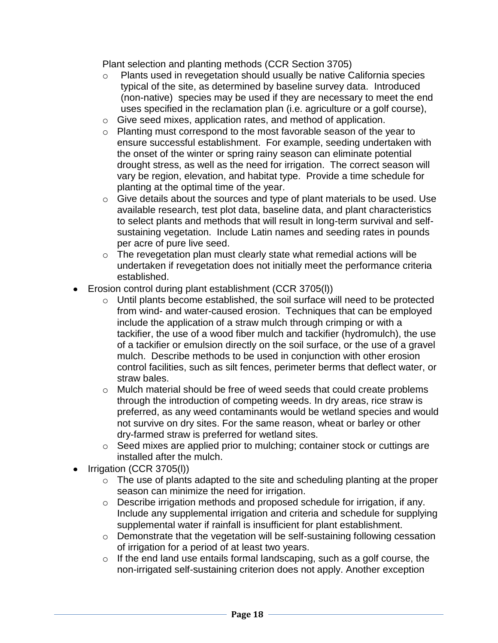Plant selection and planting methods (CCR Section 3705)

- o Plants used in revegetation should usually be native California species typical of the site, as determined by baseline survey data. Introduced (non-native) species may be used if they are necessary to meet the end uses specified in the reclamation plan (i.e. agriculture or a golf course),
- o Give seed mixes, application rates, and method of application.
- o Planting must correspond to the most favorable season of the year to ensure successful establishment. For example, seeding undertaken with the onset of the winter or spring rainy season can eliminate potential drought stress, as well as the need for irrigation. The correct season will vary be region, elevation, and habitat type. Provide a time schedule for planting at the optimal time of the year.
- o Give details about the sources and type of plant materials to be used. Use available research, test plot data, baseline data, and plant characteristics to select plants and methods that will result in long-term survival and selfsustaining vegetation. Include Latin names and seeding rates in pounds per acre of pure live seed.
- o The revegetation plan must clearly state what remedial actions will be undertaken if revegetation does not initially meet the performance criteria established.
- Erosion control during plant establishment (CCR 3705(l))
	- o Until plants become established, the soil surface will need to be protected from wind- and water-caused erosion. Techniques that can be employed include the application of a straw mulch through crimping or with a tackifier, the use of a wood fiber mulch and tackifier (hydromulch), the use of a tackifier or emulsion directly on the soil surface, or the use of a gravel mulch. Describe methods to be used in conjunction with other erosion control facilities, such as silt fences, perimeter berms that deflect water, or straw bales.
	- o Mulch material should be free of weed seeds that could create problems through the introduction of competing weeds. In dry areas, rice straw is preferred, as any weed contaminants would be wetland species and would not survive on dry sites. For the same reason, wheat or barley or other dry-farmed straw is preferred for wetland sites.
	- o Seed mixes are applied prior to mulching; container stock or cuttings are installed after the mulch.
- Irrigation (CCR 3705(l))
	- o The use of plants adapted to the site and scheduling planting at the proper season can minimize the need for irrigation.
	- o Describe irrigation methods and proposed schedule for irrigation, if any. Include any supplemental irrigation and criteria and schedule for supplying supplemental water if rainfall is insufficient for plant establishment.
	- o Demonstrate that the vegetation will be self-sustaining following cessation of irrigation for a period of at least two years.
	- o If the end land use entails formal landscaping, such as a golf course, the non-irrigated self-sustaining criterion does not apply. Another exception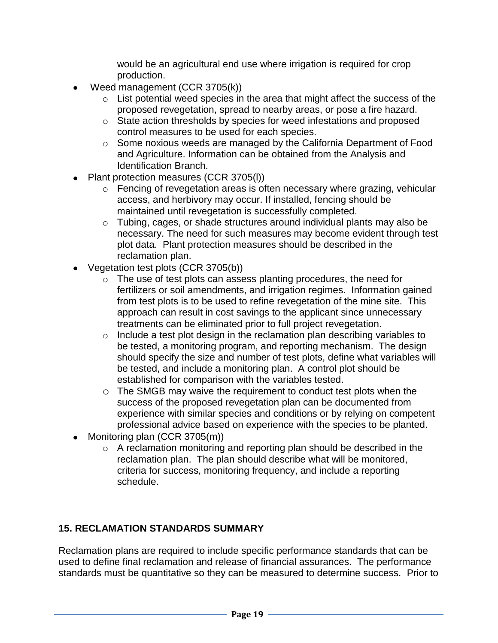would be an agricultural end use where irrigation is required for crop production.

- Weed management (CCR 3705(k))
	- o List potential weed species in the area that might affect the success of the proposed revegetation, spread to nearby areas, or pose a fire hazard.
	- o State action thresholds by species for weed infestations and proposed control measures to be used for each species.
	- o Some noxious weeds are managed by the California Department of Food and Agriculture. Information can be obtained from the Analysis and Identification Branch.
- Plant protection measures (CCR 3705(l))
	- o Fencing of revegetation areas is often necessary where grazing, vehicular access, and herbivory may occur. If installed, fencing should be maintained until revegetation is successfully completed.
	- o Tubing, cages, or shade structures around individual plants may also be necessary. The need for such measures may become evident through test plot data. Plant protection measures should be described in the reclamation plan.
- Vegetation test plots (CCR 3705(b))
	- o The use of test plots can assess planting procedures, the need for fertilizers or soil amendments, and irrigation regimes. Information gained from test plots is to be used to refine revegetation of the mine site. This approach can result in cost savings to the applicant since unnecessary treatments can be eliminated prior to full project revegetation.
	- o Include a test plot design in the reclamation plan describing variables to be tested, a monitoring program, and reporting mechanism. The design should specify the size and number of test plots, define what variables will be tested, and include a monitoring plan. A control plot should be established for comparison with the variables tested.
	- o The SMGB may waive the requirement to conduct test plots when the success of the proposed revegetation plan can be documented from experience with similar species and conditions or by relying on competent professional advice based on experience with the species to be planted.
- Monitoring plan  $(CCR 3705(m))$ 
	- o A reclamation monitoring and reporting plan should be described in the reclamation plan. The plan should describe what will be monitored, criteria for success, monitoring frequency, and include a reporting schedule.

# **15. RECLAMATION STANDARDS SUMMARY**

Reclamation plans are required to include specific performance standards that can be used to define final reclamation and release of financial assurances. The performance standards must be quantitative so they can be measured to determine success. Prior to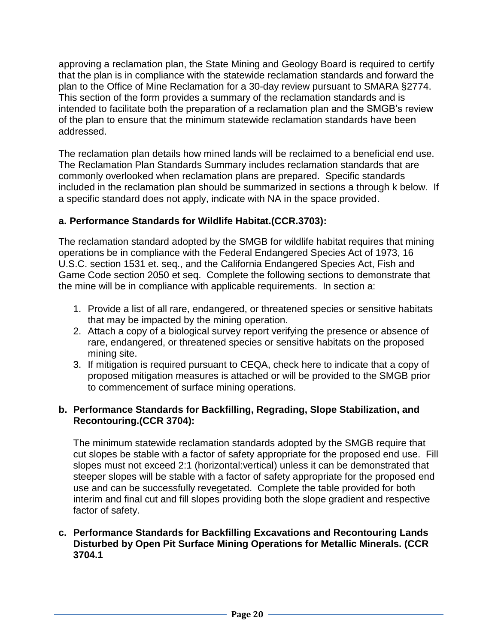approving a reclamation plan, the State Mining and Geology Board is required to certify that the plan is in compliance with the statewide reclamation standards and forward the plan to the Office of Mine Reclamation for a 30-day review pursuant to SMARA §2774. This section of the form provides a summary of the reclamation standards and is intended to facilitate both the preparation of a reclamation plan and the SMGB's review of the plan to ensure that the minimum statewide reclamation standards have been addressed.

The reclamation plan details how mined lands will be reclaimed to a beneficial end use. The Reclamation Plan Standards Summary includes reclamation standards that are commonly overlooked when reclamation plans are prepared. Specific standards included in the reclamation plan should be summarized in sections a through k below. If a specific standard does not apply, indicate with NA in the space provided.

### **a. Performance Standards for Wildlife Habitat.(CCR.3703):**

The reclamation standard adopted by the SMGB for wildlife habitat requires that mining operations be in compliance with the Federal Endangered Species Act of 1973, 16 U.S.C. section 1531 et. seq., and the California Endangered Species Act, Fish and Game Code section 2050 et seq. Complete the following sections to demonstrate that the mine will be in compliance with applicable requirements. In section a:

- 1. Provide a list of all rare, endangered, or threatened species or sensitive habitats that may be impacted by the mining operation.
- 2. Attach a copy of a biological survey report verifying the presence or absence of rare, endangered, or threatened species or sensitive habitats on the proposed mining site.
- 3. If mitigation is required pursuant to CEQA, check here to indicate that a copy of proposed mitigation measures is attached or will be provided to the SMGB prior to commencement of surface mining operations.

#### **b. Performance Standards for Backfilling, Regrading, Slope Stabilization, and Recontouring.(CCR 3704):**

The minimum statewide reclamation standards adopted by the SMGB require that cut slopes be stable with a factor of safety appropriate for the proposed end use. Fill slopes must not exceed 2:1 (horizontal:vertical) unless it can be demonstrated that steeper slopes will be stable with a factor of safety appropriate for the proposed end use and can be successfully revegetated. Complete the table provided for both interim and final cut and fill slopes providing both the slope gradient and respective factor of safety.

#### **c. Performance Standards for Backfilling Excavations and Recontouring Lands Disturbed by Open Pit Surface Mining Operations for Metallic Minerals. (CCR 3704.1**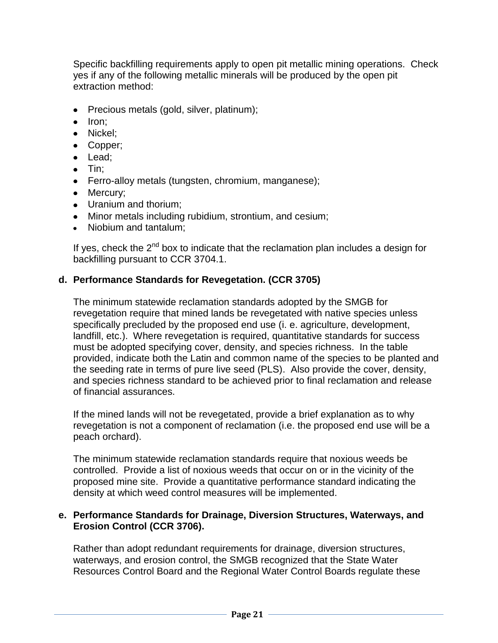Specific backfilling requirements apply to open pit metallic mining operations. Check yes if any of the following metallic minerals will be produced by the open pit extraction method:

- Precious metals (gold, silver, platinum);
- $\bullet$  Iron:
- Nickel;
- Copper;
- Lead;
- $\bullet$  Tin:
- Ferro-alloy metals (tungsten, chromium, manganese);
- Mercury:
- Uranium and thorium;
- Minor metals including rubidium, strontium, and cesium;
- Niobium and tantalum;

If yes, check the  $2^{nd}$  box to indicate that the reclamation plan includes a design for backfilling pursuant to CCR 3704.1.

### **d. Performance Standards for Revegetation. (CCR 3705)**

The minimum statewide reclamation standards adopted by the SMGB for revegetation require that mined lands be revegetated with native species unless specifically precluded by the proposed end use (i. e. agriculture, development, landfill, etc.). Where revegetation is required, quantitative standards for success must be adopted specifying cover, density, and species richness. In the table provided, indicate both the Latin and common name of the species to be planted and the seeding rate in terms of pure live seed (PLS). Also provide the cover, density, and species richness standard to be achieved prior to final reclamation and release of financial assurances.

If the mined lands will not be revegetated, provide a brief explanation as to why revegetation is not a component of reclamation (i.e. the proposed end use will be a peach orchard).

The minimum statewide reclamation standards require that noxious weeds be controlled. Provide a list of noxious weeds that occur on or in the vicinity of the proposed mine site. Provide a quantitative performance standard indicating the density at which weed control measures will be implemented.

#### **e. Performance Standards for Drainage, Diversion Structures, Waterways, and Erosion Control (CCR 3706).**

Rather than adopt redundant requirements for drainage, diversion structures, waterways, and erosion control, the SMGB recognized that the State Water Resources Control Board and the Regional Water Control Boards regulate these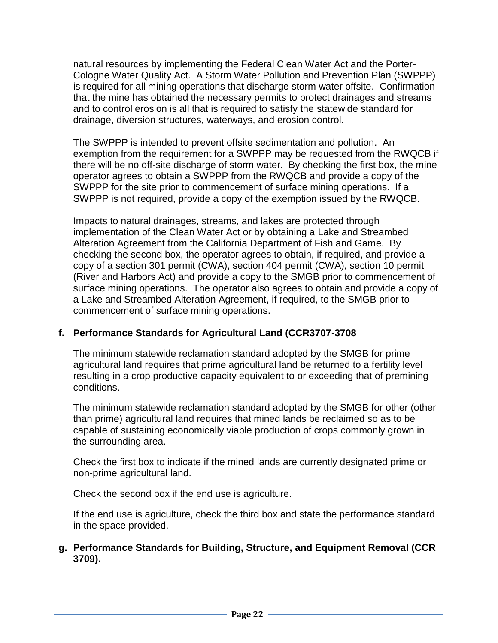natural resources by implementing the Federal Clean Water Act and the Porter-Cologne Water Quality Act. A Storm Water Pollution and Prevention Plan (SWPPP) is required for all mining operations that discharge storm water offsite. Confirmation that the mine has obtained the necessary permits to protect drainages and streams and to control erosion is all that is required to satisfy the statewide standard for drainage, diversion structures, waterways, and erosion control.

The SWPPP is intended to prevent offsite sedimentation and pollution. An exemption from the requirement for a SWPPP may be requested from the RWQCB if there will be no off-site discharge of storm water. By checking the first box, the mine operator agrees to obtain a SWPPP from the RWQCB and provide a copy of the SWPPP for the site prior to commencement of surface mining operations. If a SWPPP is not required, provide a copy of the exemption issued by the RWQCB.

Impacts to natural drainages, streams, and lakes are protected through implementation of the Clean Water Act or by obtaining a Lake and Streambed Alteration Agreement from the California Department of Fish and Game. By checking the second box, the operator agrees to obtain, if required, and provide a copy of a section 301 permit (CWA), section 404 permit (CWA), section 10 permit (River and Harbors Act) and provide a copy to the SMGB prior to commencement of surface mining operations. The operator also agrees to obtain and provide a copy of a Lake and Streambed Alteration Agreement, if required, to the SMGB prior to commencement of surface mining operations.

# **f. Performance Standards for Agricultural Land (CCR3707-3708**

The minimum statewide reclamation standard adopted by the SMGB for prime agricultural land requires that prime agricultural land be returned to a fertility level resulting in a crop productive capacity equivalent to or exceeding that of premining conditions.

The minimum statewide reclamation standard adopted by the SMGB for other (other than prime) agricultural land requires that mined lands be reclaimed so as to be capable of sustaining economically viable production of crops commonly grown in the surrounding area.

Check the first box to indicate if the mined lands are currently designated prime or non-prime agricultural land.

Check the second box if the end use is agriculture.

If the end use is agriculture, check the third box and state the performance standard in the space provided.

### **g. Performance Standards for Building, Structure, and Equipment Removal (CCR 3709).**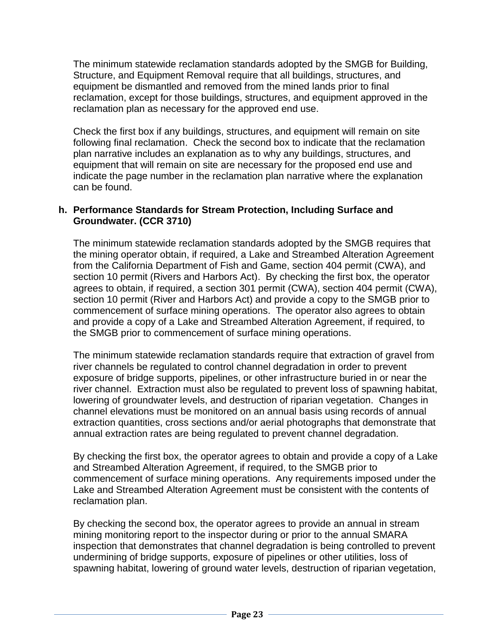The minimum statewide reclamation standards adopted by the SMGB for Building, Structure, and Equipment Removal require that all buildings, structures, and equipment be dismantled and removed from the mined lands prior to final reclamation, except for those buildings, structures, and equipment approved in the reclamation plan as necessary for the approved end use.

Check the first box if any buildings, structures, and equipment will remain on site following final reclamation. Check the second box to indicate that the reclamation plan narrative includes an explanation as to why any buildings, structures, and equipment that will remain on site are necessary for the proposed end use and indicate the page number in the reclamation plan narrative where the explanation can be found.

#### **h. Performance Standards for Stream Protection, Including Surface and Groundwater. (CCR 3710)**

The minimum statewide reclamation standards adopted by the SMGB requires that the mining operator obtain, if required, a Lake and Streambed Alteration Agreement from the California Department of Fish and Game, section 404 permit (CWA), and section 10 permit (Rivers and Harbors Act). By checking the first box, the operator agrees to obtain, if required, a section 301 permit (CWA), section 404 permit (CWA), section 10 permit (River and Harbors Act) and provide a copy to the SMGB prior to commencement of surface mining operations. The operator also agrees to obtain and provide a copy of a Lake and Streambed Alteration Agreement, if required, to the SMGB prior to commencement of surface mining operations.

The minimum statewide reclamation standards require that extraction of gravel from river channels be regulated to control channel degradation in order to prevent exposure of bridge supports, pipelines, or other infrastructure buried in or near the river channel. Extraction must also be regulated to prevent loss of spawning habitat, lowering of groundwater levels, and destruction of riparian vegetation. Changes in channel elevations must be monitored on an annual basis using records of annual extraction quantities, cross sections and/or aerial photographs that demonstrate that annual extraction rates are being regulated to prevent channel degradation.

By checking the first box, the operator agrees to obtain and provide a copy of a Lake and Streambed Alteration Agreement, if required, to the SMGB prior to commencement of surface mining operations. Any requirements imposed under the Lake and Streambed Alteration Agreement must be consistent with the contents of reclamation plan.

By checking the second box, the operator agrees to provide an annual in stream mining monitoring report to the inspector during or prior to the annual SMARA inspection that demonstrates that channel degradation is being controlled to prevent undermining of bridge supports, exposure of pipelines or other utilities, loss of spawning habitat, lowering of ground water levels, destruction of riparian vegetation,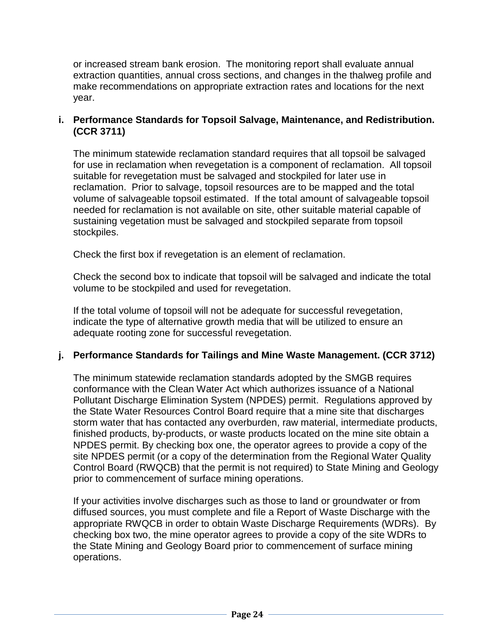or increased stream bank erosion. The monitoring report shall evaluate annual extraction quantities, annual cross sections, and changes in the thalweg profile and make recommendations on appropriate extraction rates and locations for the next year.

### **i. Performance Standards for Topsoil Salvage, Maintenance, and Redistribution. (CCR 3711)**

The minimum statewide reclamation standard requires that all topsoil be salvaged for use in reclamation when revegetation is a component of reclamation. All topsoil suitable for revegetation must be salvaged and stockpiled for later use in reclamation. Prior to salvage, topsoil resources are to be mapped and the total volume of salvageable topsoil estimated. If the total amount of salvageable topsoil needed for reclamation is not available on site, other suitable material capable of sustaining vegetation must be salvaged and stockpiled separate from topsoil stockpiles.

Check the first box if revegetation is an element of reclamation.

Check the second box to indicate that topsoil will be salvaged and indicate the total volume to be stockpiled and used for revegetation.

If the total volume of topsoil will not be adequate for successful revegetation, indicate the type of alternative growth media that will be utilized to ensure an adequate rooting zone for successful revegetation.

### **j. Performance Standards for Tailings and Mine Waste Management. (CCR 3712)**

The minimum statewide reclamation standards adopted by the SMGB requires conformance with the Clean Water Act which authorizes issuance of a National Pollutant Discharge Elimination System (NPDES) permit. Regulations approved by the State Water Resources Control Board require that a mine site that discharges storm water that has contacted any overburden, raw material, intermediate products, finished products, by-products, or waste products located on the mine site obtain a NPDES permit. By checking box one, the operator agrees to provide a copy of the site NPDES permit (or a copy of the determination from the Regional Water Quality Control Board (RWQCB) that the permit is not required) to State Mining and Geology prior to commencement of surface mining operations.

If your activities involve discharges such as those to land or groundwater or from diffused sources, you must complete and file a Report of Waste Discharge with the appropriate RWQCB in order to obtain Waste Discharge Requirements (WDRs). By checking box two, the mine operator agrees to provide a copy of the site WDRs to the State Mining and Geology Board prior to commencement of surface mining operations.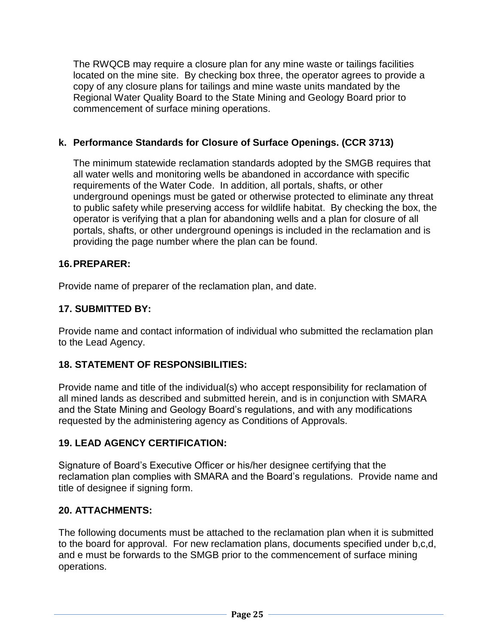The RWQCB may require a closure plan for any mine waste or tailings facilities located on the mine site. By checking box three, the operator agrees to provide a copy of any closure plans for tailings and mine waste units mandated by the Regional Water Quality Board to the State Mining and Geology Board prior to commencement of surface mining operations.

### **k. Performance Standards for Closure of Surface Openings. (CCR 3713)**

The minimum statewide reclamation standards adopted by the SMGB requires that all water wells and monitoring wells be abandoned in accordance with specific requirements of the Water Code. In addition, all portals, shafts, or other underground openings must be gated or otherwise protected to eliminate any threat to public safety while preserving access for wildlife habitat. By checking the box, the operator is verifying that a plan for abandoning wells and a plan for closure of all portals, shafts, or other underground openings is included in the reclamation and is providing the page number where the plan can be found.

### **16.PREPARER:**

Provide name of preparer of the reclamation plan, and date.

### **17. SUBMITTED BY:**

Provide name and contact information of individual who submitted the reclamation plan to the Lead Agency.

### **18. STATEMENT OF RESPONSIBILITIES:**

Provide name and title of the individual(s) who accept responsibility for reclamation of all mined lands as described and submitted herein, and is in conjunction with SMARA and the State Mining and Geology Board's regulations, and with any modifications requested by the administering agency as Conditions of Approvals.

### **19. LEAD AGENCY CERTIFICATION:**

Signature of Board's Executive Officer or his/her designee certifying that the reclamation plan complies with SMARA and the Board's regulations. Provide name and title of designee if signing form.

### **20. ATTACHMENTS:**

The following documents must be attached to the reclamation plan when it is submitted to the board for approval. For new reclamation plans, documents specified under b,c,d, and e must be forwards to the SMGB prior to the commencement of surface mining operations.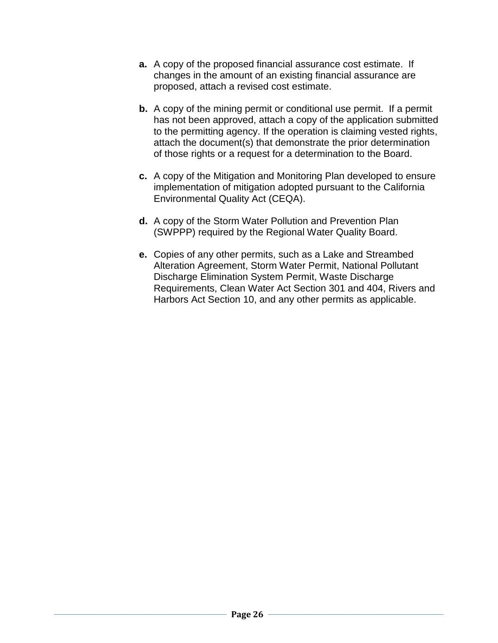- **a.** A copy of the proposed financial assurance cost estimate. If changes in the amount of an existing financial assurance are proposed, attach a revised cost estimate.
- **b.** A copy of the mining permit or conditional use permit. If a permit has not been approved, attach a copy of the application submitted to the permitting agency. If the operation is claiming vested rights, attach the document(s) that demonstrate the prior determination of those rights or a request for a determination to the Board.
- **c.** A copy of the Mitigation and Monitoring Plan developed to ensure implementation of mitigation adopted pursuant to the California Environmental Quality Act (CEQA).
- **d.** A copy of the Storm Water Pollution and Prevention Plan (SWPPP) required by the Regional Water Quality Board.
- **e.** Copies of any other permits, such as a Lake and Streambed Alteration Agreement, Storm Water Permit, National Pollutant Discharge Elimination System Permit, Waste Discharge Requirements, Clean Water Act Section 301 and 404, Rivers and Harbors Act Section 10, and any other permits as applicable.